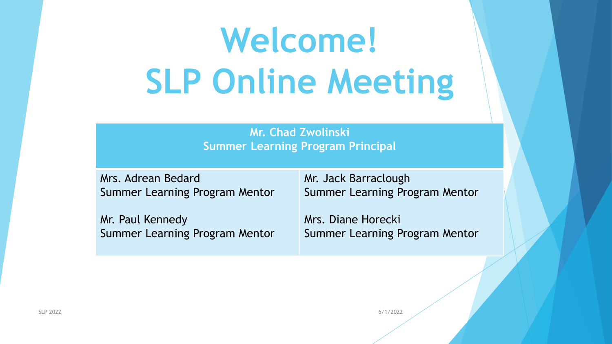# **Welcome! SLP Online Meeting**

**Mr. Chad Zwolinski Summer Learning Program Principal**

Mrs. Adrean Bedard Summer Learning Program Mentor

Mr. Paul Kennedy Summer Learning Program Mentor Mr. Jack Barraclough Summer Learning Program Mentor

Mrs. Diane Horecki Summer Learning Program Mentor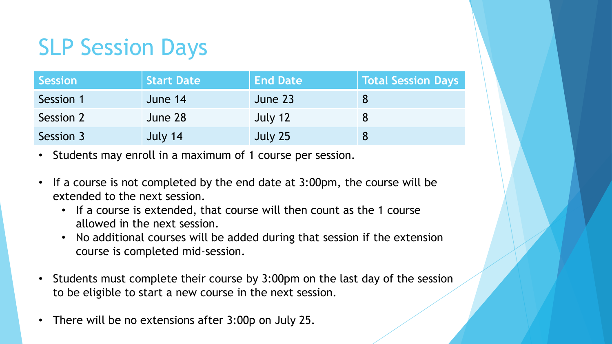# SLP Session Days

| <b>Session</b> | <b>Start Date</b> | <b>End Date</b> | Total Session Days |
|----------------|-------------------|-----------------|--------------------|
| Session 1      | June 14           | June 23         |                    |
| Session 2      | June 28           | July 12         |                    |
| Session 3      | July 14           | July 25         |                    |

- Students may enroll in a maximum of 1 course per session.
- If a course is not completed by the end date at 3:00pm, the course will be extended to the next session.
	- If a course is extended, that course will then count as the 1 course allowed in the next session.
	- No additional courses will be added during that session if the extension course is completed mid-session.
- Students must complete their course by 3:00pm on the last day of the session to be eligible to start a new course in the next session.
- There will be no extensions after 3:00p on July 25.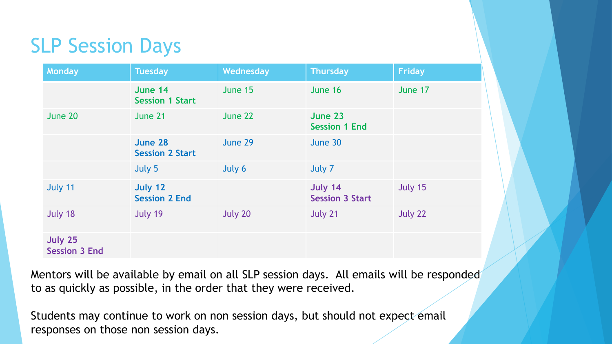#### SLP Session Days

| <b>Monday</b>                   | <b>Tuesday</b>                    | Wednesday | <b>Thursday</b>                   | <b>Friday</b> |
|---------------------------------|-----------------------------------|-----------|-----------------------------------|---------------|
|                                 | June 14<br><b>Session 1 Start</b> | June 15   | June 16                           | June 17       |
| June 20                         | June 21                           | June 22   | June 23<br><b>Session 1 End</b>   |               |
|                                 | June 28<br><b>Session 2 Start</b> | June 29   | June 30                           |               |
|                                 | July 5                            | July 6    | July 7                            |               |
| July 11                         | July 12<br><b>Session 2 End</b>   |           | July 14<br><b>Session 3 Start</b> | July 15       |
| July 18                         | July 19                           | July 20   | July 21                           | July 22       |
| July 25<br><b>Session 3 End</b> |                                   |           |                                   |               |

Mentors will be available by email on all SLP session days. All emails will be responded to as quickly as possible, in the order that they were received.

Students may continue to work on non session days, but should not expect email responses on those non session days.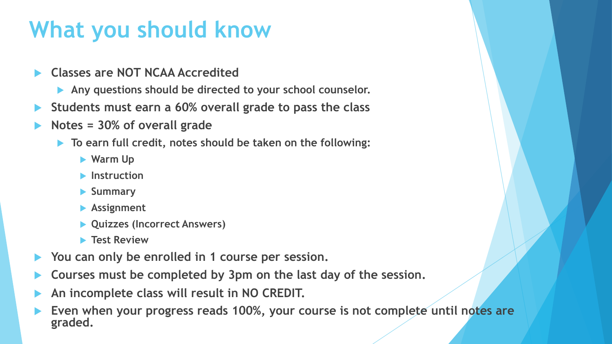# **What you should know**

- **Classes are NOT NCAA Accredited**
	- **Any questions should be directed to your school counselor.**
- **Students must earn a 60% overall grade to pass the class**
- **Notes = 30% of overall grade**
	- **To earn full credit, notes should be taken on the following:**
		- **Warm Up**
		- **Instruction**
		- **Summary**
		- **Assignment**
		- **Quizzes (Incorrect Answers)**
		- **Test Review**
- **You can only be enrolled in 1 course per session.**
- **Courses must be completed by 3pm on the last day of the session.**
- **An incomplete class will result in NO CREDIT.**
- **Even when your progress reads 100%, your course is not complete until notes are graded.**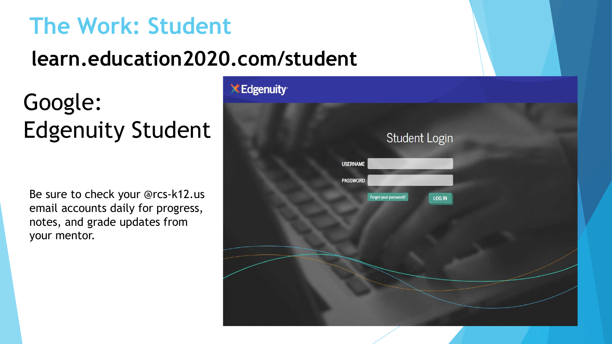#### **The Work: Student**

#### **learn.education2020.com/student**

# Google: Edgenuity Student

Be sure to check your @rcs-k12.us email accounts daily for progress, notes, and grade updates from your mentor.

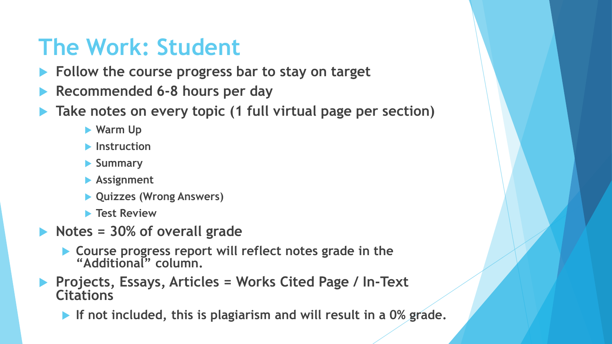### **The Work: Student**

- **Follow the course progress bar to stay on target**
- **Recommended 6-8 hours per day**
- **Take notes on every topic (1 full virtual page per section)**
	- **Warm Up**
	- **Instruction**
	- **Summary**
	- **Assignment**
	- **Quizzes (Wrong Answers)**
	- **Test Review**
- **Notes = 30% of overall grade** 
	- **Course progress report will reflect notes grade in the "Additional" column.**
- **Projects, Essays, Articles = Works Cited Page / In-Text Citations**
	- **If not included, this is plagiarism and will result in a 0% grade.**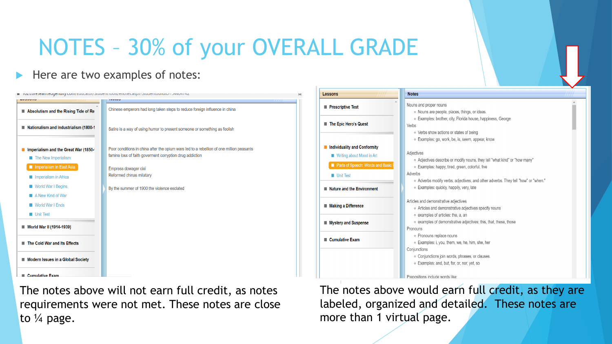# NOTES – 30% of your OVERALL GRADE

#### Here are two examples of notes:

|                                                             | <u>ιυζ. συποιηματικά με την αρχιειασματική συναιστηματική συναιστηματική στηλεσιασματική στην ανακτική στη συναισ</u>                                |
|-------------------------------------------------------------|------------------------------------------------------------------------------------------------------------------------------------------------------|
|                                                             |                                                                                                                                                      |
| Absolutism and the Rising Tide of Re                        | Chinese emperors had long taken steps to reduce foreign influence in china                                                                           |
| Nationalism and Industrialism (1800-1                       | Satire is a way of using humor to present someone or something as foolish                                                                            |
| Imperialism and the Great War (1850-<br>The New Imperialism | Poor conditions in china after the opium wars led to a rebellion of one million peasants<br>famine loss of faith goverment corryption drug addiction |
| Inperialism in East Asia                                    | Empress dowager cixi                                                                                                                                 |
| Imperialism in Africa                                       | Reformed chinas milatary                                                                                                                             |
| <b>World War I Begins</b>                                   | By the summer of 1900 the violence esclated                                                                                                          |
| A New Kind of War                                           |                                                                                                                                                      |
| <b>World War I Ends</b>                                     |                                                                                                                                                      |
| <b>Unit Test</b>                                            |                                                                                                                                                      |
| ■ World War II (1914-1939)                                  |                                                                                                                                                      |
| The Cold War and Its Effects                                |                                                                                                                                                      |
| Modern Issues in a Global Society                           |                                                                                                                                                      |
| Cumulative Exam                                             |                                                                                                                                                      |

The notes above will not earn full credit, as notes requirements were not met. These notes are close to ¼ page.

**Lessons Notes** Nouns and proper nouns **Prescriptive Test** o Nouns are people, places, things, or ideas. · Examples: brother, city, Florida house, happiness, George The Epic Hero's Quest Verbs ○ Verbs show actions or states of being o Examples: go, work, be, is, seem, appear, know Individuality and Conformity Adjectives Writing about Mood in Art • Adjectives describe or modify nouns. they tell "what kind" or "how many" Parts of Speech: Words and Basic ○ Examples: happy, tired, green, colorful, five Adverbs **Unit Test** • Adverbs modify verbs, adjectives, and other adverbs. They tell "how" or "when." ○ Examples: quickly, happily, very, late Nature and the Environment Articles and demonstrative adjectives Making a Difference • Articles and demonstrative adjectives specify nouns o examples of articles: the, a, an • examples of demonstrative adjectives: this, that, these, those **Mystery and Suspense** Pronouns • Pronouns replace nouns Cumulative Exam ○ Examples: i, you, them, we, he, him, she, her Conjunctions ○ Conjunctions join words, phrases, or clauses. ○ Examples: and, but, for, or, nor, yet, so Prepositions include words like

The notes above would earn full credit, as they are labeled, organized and detailed. These notes are more than 1 virtual page.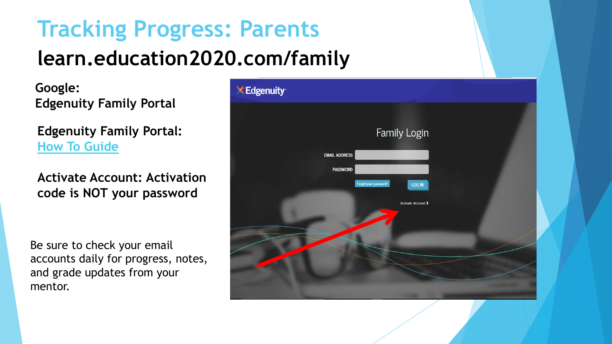## **Tracking Progress: Parents learn.education2020.com/family**

**Google: Edgenuity Family Portal**

**Edgenuity Family Portal: [How To Guide](https://docs.google.com/document/d/e/2PACX-1vSKsnw4cGeU6FuOdJjJCrJzF4t-_R_ptItYiLqEcaD-24Bah_UukDhqD_4U51hEZjp24ek9on9sDcUt/pub)**

**Activate Account: Activation code is NOT your password**

Be sure to check your email accounts daily for progress, notes, and grade updates from your mentor.

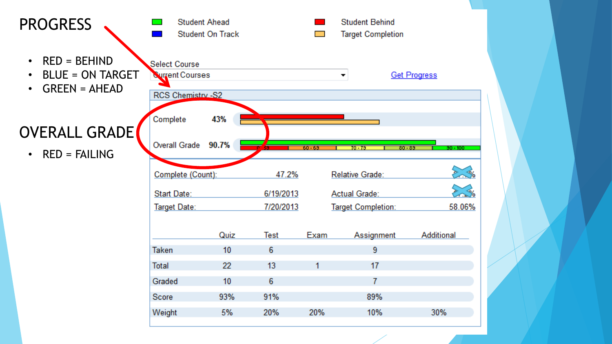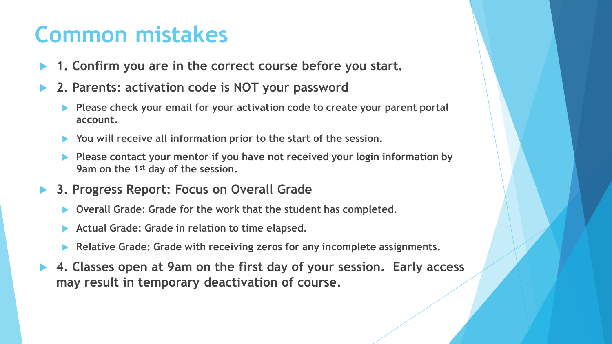### **Common mistakes**

- **1. Confirm you are in the correct course before you start.**
- **2. Parents: activation code is NOT your password**
	- **Please check your email for your activation code to create your parent portal account.**
	- **You will receive all information prior to the start of the session.**
	- **Please contact your mentor if you have not received your login information by 9am on the 1st day of the session.**
- **3. Progress Report: Focus on Overall Grade**
	- **Overall Grade: Grade for the work that the student has completed.**
	- **Actual Grade: Grade in relation to time elapsed.**
	- **Relative Grade: Grade with receiving zeros for any incomplete assignments.**
- **4. Classes open at 9am on the first day of your session. Early access may result in temporary deactivation of course.**